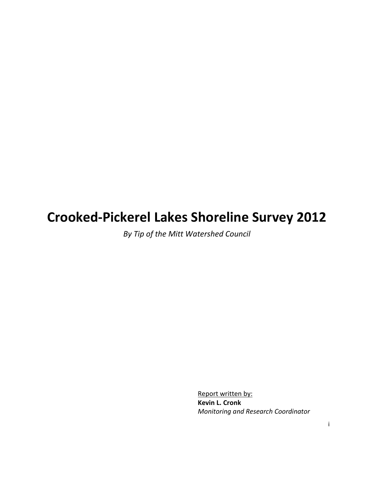# Crooked-Pickerel Lakes Shoreline Survey 2012

By Tip of the Mitt Watershed Council

Report written by: Kevin L. Cronk Monitoring and Research Coordinator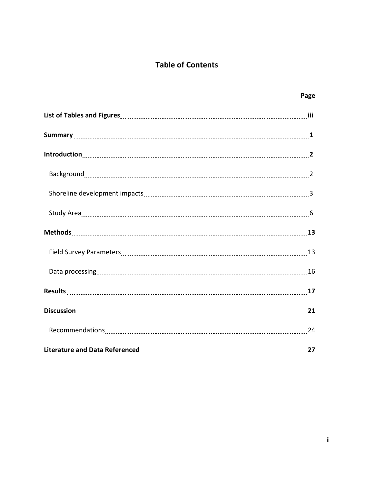# Table of Contents

|                                                                                                                                                                                                                                | Page |
|--------------------------------------------------------------------------------------------------------------------------------------------------------------------------------------------------------------------------------|------|
| List of Tables and Figures [111] List of Tables and Figures [111] List of Tables and Figures [11] List of Tables and Figures [11] List of Tables and Figures [11] List of Tables and Figures [11] List of Tables and Tables an |      |
|                                                                                                                                                                                                                                |      |
|                                                                                                                                                                                                                                |      |
|                                                                                                                                                                                                                                |      |
|                                                                                                                                                                                                                                |      |
|                                                                                                                                                                                                                                |      |
|                                                                                                                                                                                                                                |      |
|                                                                                                                                                                                                                                |      |
|                                                                                                                                                                                                                                |      |
|                                                                                                                                                                                                                                |      |
|                                                                                                                                                                                                                                |      |
|                                                                                                                                                                                                                                |      |
|                                                                                                                                                                                                                                | 27   |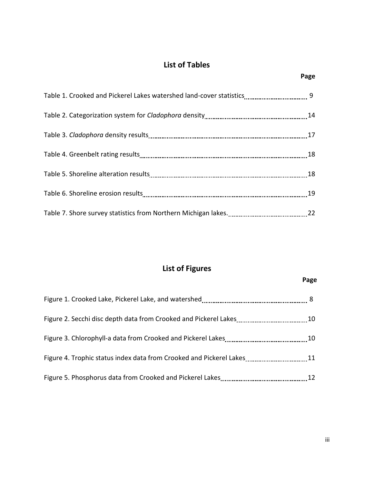# List of Tables

# List of Figures

# Page

| 12 |
|----|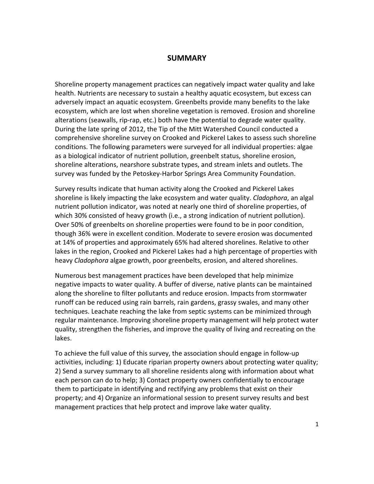### **SUMMARY**

Shoreline property management practices can negatively impact water quality and lake health. Nutrients are necessary to sustain a healthy aquatic ecosystem, but excess can adversely impact an aquatic ecosystem. Greenbelts provide many benefits to the lake ecosystem, which are lost when shoreline vegetation is removed. Erosion and shoreline alterations (seawalls, rip-rap, etc.) both have the potential to degrade water quality. During the late spring of 2012, the Tip of the Mitt Watershed Council conducted a comprehensive shoreline survey on Crooked and Pickerel Lakes to assess such shoreline conditions. The following parameters were surveyed for all individual properties: algae as a biological indicator of nutrient pollution, greenbelt status, shoreline erosion, shoreline alterations, nearshore substrate types, and stream inlets and outlets. The survey was funded by the Petoskey-Harbor Springs Area Community Foundation.

Survey results indicate that human activity along the Crooked and Pickerel Lakes shoreline is likely impacting the lake ecosystem and water quality. *Cladophora*, an algal nutrient pollution indicator, was noted at nearly one third of shoreline properties, of which 30% consisted of heavy growth (i.e., a strong indication of nutrient pollution). Over 50% of greenbelts on shoreline properties were found to be in poor condition, though 36% were in excellent condition. Moderate to severe erosion was documented at 14% of properties and approximately 65% had altered shorelines. Relative to other lakes in the region, Crooked and Pickerel Lakes had a high percentage of properties with heavy *Cladophora* algae growth, poor greenbelts, erosion, and altered shorelines.

Numerous best management practices have been developed that help minimize negative impacts to water quality. A buffer of diverse, native plants can be maintained along the shoreline to filter pollutants and reduce erosion. Impacts from stormwater runoff can be reduced using rain barrels, rain gardens, grassy swales, and many other techniques. Leachate reaching the lake from septic systems can be minimized through regular maintenance. Improving shoreline property management will help protect water quality, strengthen the fisheries, and improve the quality of living and recreating on the lakes.

To achieve the full value of this survey, the association should engage in follow-up activities, including: 1) Educate riparian property owners about protecting water quality; 2) Send a survey summary to all shoreline residents along with information about what each person can do to help; 3) Contact property owners confidentially to encourage them to participate in identifying and rectifying any problems that exist on their property; and 4) Organize an informational session to present survey results and best management practices that help protect and improve lake water quality.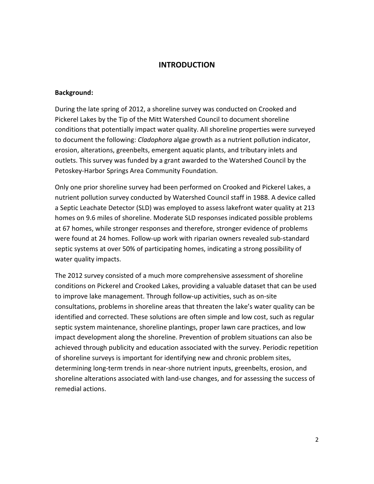## **INTRODUCTION**

#### Background:

During the late spring of 2012, a shoreline survey was conducted on Crooked and Pickerel Lakes by the Tip of the Mitt Watershed Council to document shoreline conditions that potentially impact water quality. All shoreline properties were surveyed to document the following: *Cladophora* algae growth as a nutrient pollution indicator, erosion, alterations, greenbelts, emergent aquatic plants, and tributary inlets and outlets. This survey was funded by a grant awarded to the Watershed Council by the Petoskey-Harbor Springs Area Community Foundation.

Only one prior shoreline survey had been performed on Crooked and Pickerel Lakes, a nutrient pollution survey conducted by Watershed Council staff in 1988. A device called a Septic Leachate Detector (SLD) was employed to assess lakefront water quality at 213 homes on 9.6 miles of shoreline. Moderate SLD responses indicated possible problems at 67 homes, while stronger responses and therefore, stronger evidence of problems were found at 24 homes. Follow-up work with riparian owners revealed sub-standard septic systems at over 50% of participating homes, indicating a strong possibility of water quality impacts.

The 2012 survey consisted of a much more comprehensive assessment of shoreline conditions on Pickerel and Crooked Lakes, providing a valuable dataset that can be used to improve lake management. Through follow-up activities, such as on-site consultations, problems in shoreline areas that threaten the lake's water quality can be identified and corrected. These solutions are often simple and low cost, such as regular septic system maintenance, shoreline plantings, proper lawn care practices, and low impact development along the shoreline. Prevention of problem situations can also be achieved through publicity and education associated with the survey. Periodic repetition of shoreline surveys is important for identifying new and chronic problem sites, determining long-term trends in near-shore nutrient inputs, greenbelts, erosion, and shoreline alterations associated with land-use changes, and for assessing the success of remedial actions.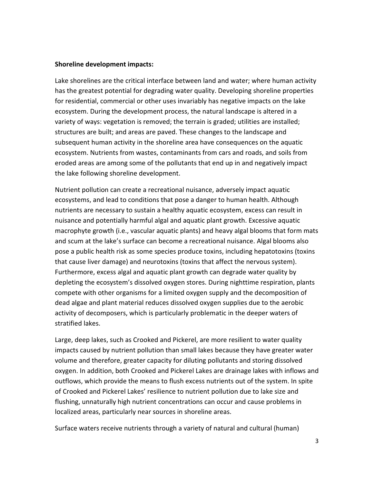#### Shoreline development impacts:

Lake shorelines are the critical interface between land and water; where human activity has the greatest potential for degrading water quality. Developing shoreline properties for residential, commercial or other uses invariably has negative impacts on the lake ecosystem. During the development process, the natural landscape is altered in a variety of ways: vegetation is removed; the terrain is graded; utilities are installed; structures are built; and areas are paved. These changes to the landscape and subsequent human activity in the shoreline area have consequences on the aquatic ecosystem. Nutrients from wastes, contaminants from cars and roads, and soils from eroded areas are among some of the pollutants that end up in and negatively impact the lake following shoreline development.

Nutrient pollution can create a recreational nuisance, adversely impact aquatic ecosystems, and lead to conditions that pose a danger to human health. Although nutrients are necessary to sustain a healthy aquatic ecosystem, excess can result in nuisance and potentially harmful algal and aquatic plant growth. Excessive aquatic macrophyte growth (i.e., vascular aquatic plants) and heavy algal blooms that form mats and scum at the lake's surface can become a recreational nuisance. Algal blooms also pose a public health risk as some species produce toxins, including hepatotoxins (toxins that cause liver damage) and neurotoxins (toxins that affect the nervous system). Furthermore, excess algal and aquatic plant growth can degrade water quality by depleting the ecosystem's dissolved oxygen stores. During nighttime respiration, plants compete with other organisms for a limited oxygen supply and the decomposition of dead algae and plant material reduces dissolved oxygen supplies due to the aerobic activity of decomposers, which is particularly problematic in the deeper waters of stratified lakes.

Large, deep lakes, such as Crooked and Pickerel, are more resilient to water quality impacts caused by nutrient pollution than small lakes because they have greater water volume and therefore, greater capacity for diluting pollutants and storing dissolved oxygen. In addition, both Crooked and Pickerel Lakes are drainage lakes with inflows and outflows, which provide the means to flush excess nutrients out of the system. In spite of Crooked and Pickerel Lakes' resilience to nutrient pollution due to lake size and flushing, unnaturally high nutrient concentrations can occur and cause problems in localized areas, particularly near sources in shoreline areas.

Surface waters receive nutrients through a variety of natural and cultural (human)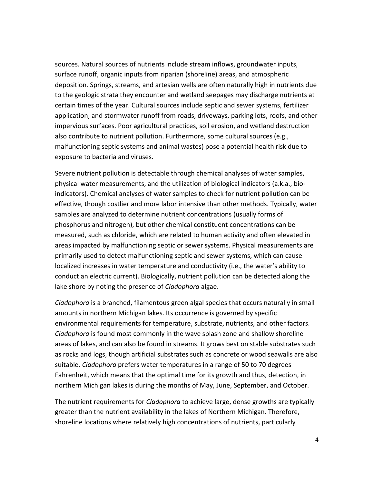sources. Natural sources of nutrients include stream inflows, groundwater inputs, surface runoff, organic inputs from riparian (shoreline) areas, and atmospheric deposition. Springs, streams, and artesian wells are often naturally high in nutrients due to the geologic strata they encounter and wetland seepages may discharge nutrients at certain times of the year. Cultural sources include septic and sewer systems, fertilizer application, and stormwater runoff from roads, driveways, parking lots, roofs, and other impervious surfaces. Poor agricultural practices, soil erosion, and wetland destruction also contribute to nutrient pollution. Furthermore, some cultural sources (e.g., malfunctioning septic systems and animal wastes) pose a potential health risk due to exposure to bacteria and viruses.

Severe nutrient pollution is detectable through chemical analyses of water samples, physical water measurements, and the utilization of biological indicators (a.k.a., bioindicators). Chemical analyses of water samples to check for nutrient pollution can be effective, though costlier and more labor intensive than other methods. Typically, water samples are analyzed to determine nutrient concentrations (usually forms of phosphorus and nitrogen), but other chemical constituent concentrations can be measured, such as chloride, which are related to human activity and often elevated in areas impacted by malfunctioning septic or sewer systems. Physical measurements are primarily used to detect malfunctioning septic and sewer systems, which can cause localized increases in water temperature and conductivity (i.e., the water's ability to conduct an electric current). Biologically, nutrient pollution can be detected along the lake shore by noting the presence of Cladophora algae.

Cladophora is a branched, filamentous green algal species that occurs naturally in small amounts in northern Michigan lakes. Its occurrence is governed by specific environmental requirements for temperature, substrate, nutrients, and other factors. Cladophora is found most commonly in the wave splash zone and shallow shoreline areas of lakes, and can also be found in streams. It grows best on stable substrates such as rocks and logs, though artificial substrates such as concrete or wood seawalls are also suitable. Cladophora prefers water temperatures in a range of 50 to 70 degrees Fahrenheit, which means that the optimal time for its growth and thus, detection, in northern Michigan lakes is during the months of May, June, September, and October.

The nutrient requirements for *Cladophora* to achieve large, dense growths are typically greater than the nutrient availability in the lakes of Northern Michigan. Therefore, shoreline locations where relatively high concentrations of nutrients, particularly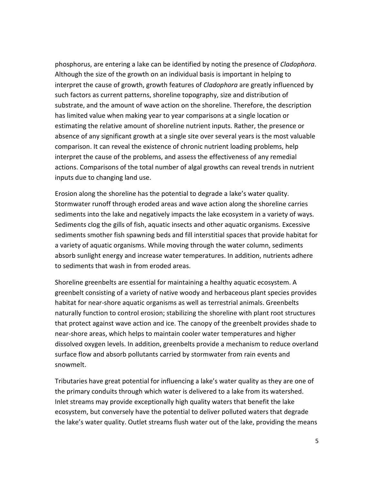phosphorus, are entering a lake can be identified by noting the presence of Cladophora. Although the size of the growth on an individual basis is important in helping to interpret the cause of growth, growth features of *Cladophora* are greatly influenced by such factors as current patterns, shoreline topography, size and distribution of substrate, and the amount of wave action on the shoreline. Therefore, the description has limited value when making year to year comparisons at a single location or estimating the relative amount of shoreline nutrient inputs. Rather, the presence or absence of any significant growth at a single site over several years is the most valuable comparison. It can reveal the existence of chronic nutrient loading problems, help interpret the cause of the problems, and assess the effectiveness of any remedial actions. Comparisons of the total number of algal growths can reveal trends in nutrient inputs due to changing land use.

Erosion along the shoreline has the potential to degrade a lake's water quality. Stormwater runoff through eroded areas and wave action along the shoreline carries sediments into the lake and negatively impacts the lake ecosystem in a variety of ways. Sediments clog the gills of fish, aquatic insects and other aquatic organisms. Excessive sediments smother fish spawning beds and fill interstitial spaces that provide habitat for a variety of aquatic organisms. While moving through the water column, sediments absorb sunlight energy and increase water temperatures. In addition, nutrients adhere to sediments that wash in from eroded areas.

Shoreline greenbelts are essential for maintaining a healthy aquatic ecosystem. A greenbelt consisting of a variety of native woody and herbaceous plant species provides habitat for near-shore aquatic organisms as well as terrestrial animals. Greenbelts naturally function to control erosion; stabilizing the shoreline with plant root structures that protect against wave action and ice. The canopy of the greenbelt provides shade to near-shore areas, which helps to maintain cooler water temperatures and higher dissolved oxygen levels. In addition, greenbelts provide a mechanism to reduce overland surface flow and absorb pollutants carried by stormwater from rain events and snowmelt.

Tributaries have great potential for influencing a lake's water quality as they are one of the primary conduits through which water is delivered to a lake from its watershed. Inlet streams may provide exceptionally high quality waters that benefit the lake ecosystem, but conversely have the potential to deliver polluted waters that degrade the lake's water quality. Outlet streams flush water out of the lake, providing the means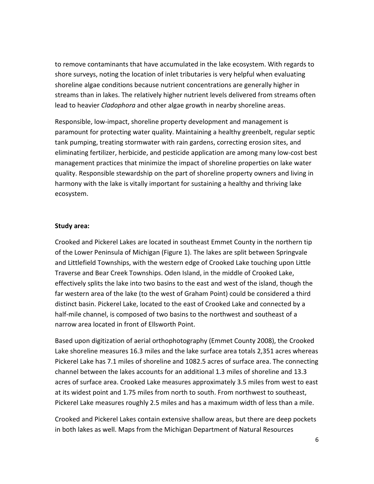to remove contaminants that have accumulated in the lake ecosystem. With regards to shore surveys, noting the location of inlet tributaries is very helpful when evaluating shoreline algae conditions because nutrient concentrations are generally higher in streams than in lakes. The relatively higher nutrient levels delivered from streams often lead to heavier *Cladophora* and other algae growth in nearby shoreline areas.

Responsible, low-impact, shoreline property development and management is paramount for protecting water quality. Maintaining a healthy greenbelt, regular septic tank pumping, treating stormwater with rain gardens, correcting erosion sites, and eliminating fertilizer, herbicide, and pesticide application are among many low-cost best management practices that minimize the impact of shoreline properties on lake water quality. Responsible stewardship on the part of shoreline property owners and living in harmony with the lake is vitally important for sustaining a healthy and thriving lake ecosystem.

#### Study area:

Crooked and Pickerel Lakes are located in southeast Emmet County in the northern tip of the Lower Peninsula of Michigan (Figure 1). The lakes are split between Springvale and Littlefield Townships, with the western edge of Crooked Lake touching upon Little Traverse and Bear Creek Townships. Oden Island, in the middle of Crooked Lake, effectively splits the lake into two basins to the east and west of the island, though the far western area of the lake (to the west of Graham Point) could be considered a third distinct basin. Pickerel Lake, located to the east of Crooked Lake and connected by a half-mile channel, is composed of two basins to the northwest and southeast of a narrow area located in front of Ellsworth Point.

Based upon digitization of aerial orthophotography (Emmet County 2008), the Crooked Lake shoreline measures 16.3 miles and the lake surface area totals 2,351 acres whereas Pickerel Lake has 7.1 miles of shoreline and 1082.5 acres of surface area. The connecting channel between the lakes accounts for an additional 1.3 miles of shoreline and 13.3 acres of surface area. Crooked Lake measures approximately 3.5 miles from west to east at its widest point and 1.75 miles from north to south. From northwest to southeast, Pickerel Lake measures roughly 2.5 miles and has a maximum width of less than a mile.

Crooked and Pickerel Lakes contain extensive shallow areas, but there are deep pockets in both lakes as well. Maps from the Michigan Department of Natural Resources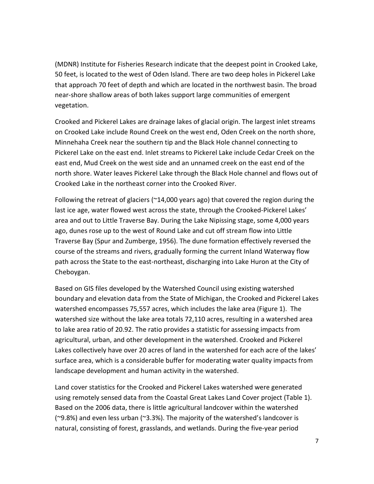(MDNR) Institute for Fisheries Research indicate that the deepest point in Crooked Lake, 50 feet, is located to the west of Oden Island. There are two deep holes in Pickerel Lake that approach 70 feet of depth and which are located in the northwest basin. The broad near-shore shallow areas of both lakes support large communities of emergent vegetation.

Crooked and Pickerel Lakes are drainage lakes of glacial origin. The largest inlet streams on Crooked Lake include Round Creek on the west end, Oden Creek on the north shore, Minnehaha Creek near the southern tip and the Black Hole channel connecting to Pickerel Lake on the east end. Inlet streams to Pickerel Lake include Cedar Creek on the east end, Mud Creek on the west side and an unnamed creek on the east end of the north shore. Water leaves Pickerel Lake through the Black Hole channel and flows out of Crooked Lake in the northeast corner into the Crooked River.

Following the retreat of glaciers ( $\approx$ 14,000 years ago) that covered the region during the last ice age, water flowed west across the state, through the Crooked-Pickerel Lakes' area and out to Little Traverse Bay. During the Lake Nipissing stage, some 4,000 years ago, dunes rose up to the west of Round Lake and cut off stream flow into Little Traverse Bay (Spur and Zumberge, 1956). The dune formation effectively reversed the course of the streams and rivers, gradually forming the current Inland Waterway flow path across the State to the east-northeast, discharging into Lake Huron at the City of Cheboygan.

Based on GIS files developed by the Watershed Council using existing watershed boundary and elevation data from the State of Michigan, the Crooked and Pickerel Lakes watershed encompasses 75,557 acres, which includes the lake area (Figure 1). The watershed size without the lake area totals 72,110 acres, resulting in a watershed area to lake area ratio of 20.92. The ratio provides a statistic for assessing impacts from agricultural, urban, and other development in the watershed. Crooked and Pickerel Lakes collectively have over 20 acres of land in the watershed for each acre of the lakes' surface area, which is a considerable buffer for moderating water quality impacts from landscape development and human activity in the watershed.

Land cover statistics for the Crooked and Pickerel Lakes watershed were generated using remotely sensed data from the Coastal Great Lakes Land Cover project (Table 1). Based on the 2006 data, there is little agricultural landcover within the watershed (~9.8%) and even less urban (~3.3%). The majority of the watershed's landcover is natural, consisting of forest, grasslands, and wetlands. During the five-year period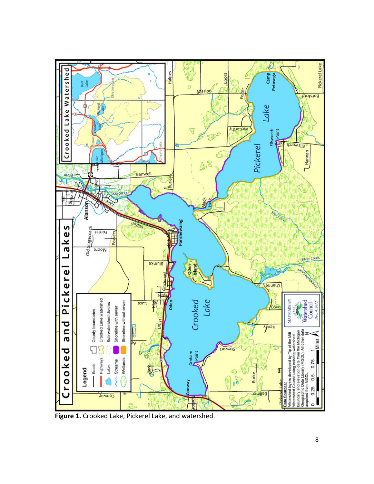

Figure 1. Crooked Lake, Pickerel Lake, and watershed.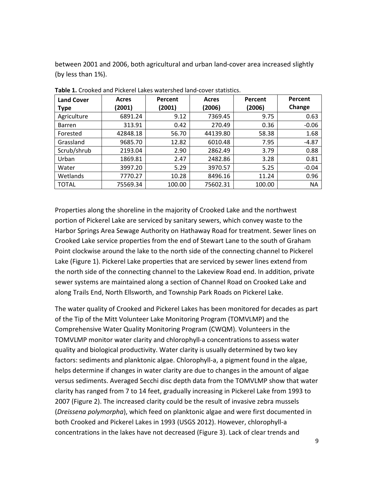between 2001 and 2006, both agricultural and urban land-cover area increased slightly (by less than 1%).

| <b>Land Cover</b> | Acres    | Percent | Acres    | Percent | Percent   |
|-------------------|----------|---------|----------|---------|-----------|
| <b>Type</b>       | (2001)   | (2001)  | (2006)   | (2006)  | Change    |
| Agriculture       | 6891.24  | 9.12    | 7369.45  | 9.75    | 0.63      |
| <b>Barren</b>     | 313.91   | 0.42    | 270.49   | 0.36    | $-0.06$   |
| Forested          | 42848.18 | 56.70   | 44139.80 | 58.38   | 1.68      |
| Grassland         | 9685.70  | 12.82   | 6010.48  | 7.95    | $-4.87$   |
| Scrub/shrub       | 2193.04  | 2.90    | 2862.49  | 3.79    | 0.88      |
| Urban             | 1869.81  | 2.47    | 2482.86  | 3.28    | 0.81      |
| Water             | 3997.20  | 5.29    | 3970.57  | 5.25    | $-0.04$   |
| Wetlands          | 7770.27  | 10.28   | 8496.16  | 11.24   | 0.96      |
| <b>TOTAL</b>      | 75569.34 | 100.00  | 75602.31 | 100.00  | <b>NA</b> |

Table 1. Crooked and Pickerel Lakes watershed land-cover statistics.

Properties along the shoreline in the majority of Crooked Lake and the northwest portion of Pickerel Lake are serviced by sanitary sewers, which convey waste to the Harbor Springs Area Sewage Authority on Hathaway Road for treatment. Sewer lines on Crooked Lake service properties from the end of Stewart Lane to the south of Graham Point clockwise around the lake to the north side of the connecting channel to Pickerel Lake (Figure 1). Pickerel Lake properties that are serviced by sewer lines extend from the north side of the connecting channel to the Lakeview Road end. In addition, private sewer systems are maintained along a section of Channel Road on Crooked Lake and along Trails End, North Ellsworth, and Township Park Roads on Pickerel Lake.

The water quality of Crooked and Pickerel Lakes has been monitored for decades as part of the Tip of the Mitt Volunteer Lake Monitoring Program (TOMVLMP) and the Comprehensive Water Quality Monitoring Program (CWQM). Volunteers in the TOMVLMP monitor water clarity and chlorophyll-a concentrations to assess water quality and biological productivity. Water clarity is usually determined by two key factors: sediments and planktonic algae. Chlorophyll-a, a pigment found in the algae, helps determine if changes in water clarity are due to changes in the amount of algae versus sediments. Averaged Secchi disc depth data from the TOMVLMP show that water clarity has ranged from 7 to 14 feet, gradually increasing in Pickerel Lake from 1993 to 2007 (Figure 2). The increased clarity could be the result of invasive zebra mussels (Dreissena polymorpha), which feed on planktonic algae and were first documented in both Crooked and Pickerel Lakes in 1993 (USGS 2012). However, chlorophyll-a concentrations in the lakes have not decreased (Figure 3). Lack of clear trends and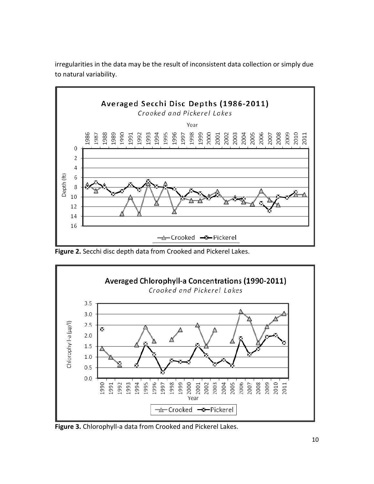

irregularities in the data may be the result of inconsistent data collection or simply due to natural variability.

Figure 2. Secchi disc depth data from Crooked and Pickerel Lakes.



Figure 3. Chlorophyll-a data from Crooked and Pickerel Lakes.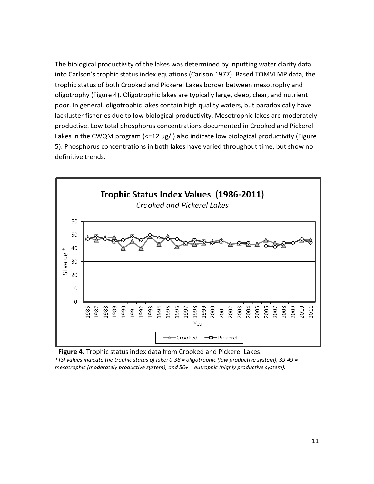The biological productivity of the lakes was determined by inputting water clarity data into Carlson's trophic status index equations (Carlson 1977). Based TOMVLMP data, the trophic status of both Crooked and Pickerel Lakes border between mesotrophy and oligotrophy (Figure 4). Oligotrophic lakes are typically large, deep, clear, and nutrient poor. In general, oligotrophic lakes contain high quality waters, but paradoxically have lackluster fisheries due to low biological productivity. Mesotrophic lakes are moderately productive. Low total phosphorus concentrations documented in Crooked and Pickerel Lakes in the CWQM program (<=12 ug/l) also indicate low biological productivity (Figure 5). Phosphorus concentrations in both lakes have varied throughout time, but show no definitive trends.





mesotrophic (moderately productive system), and 50+ = eutrophic (highly productive system).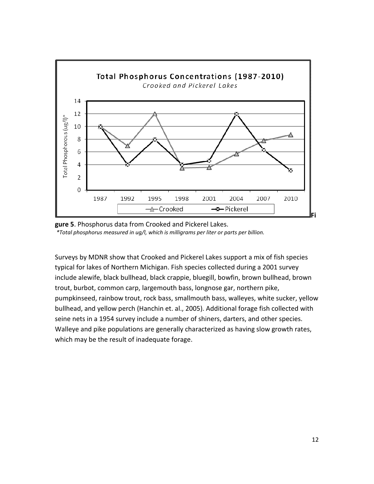



Surveys by MDNR show that Crooked and Pickerel Lakes support a mix of fish species typical for lakes of Northern Michigan. Fish species collected during a 2001 survey include alewife, black bullhead, black crappie, bluegill, bowfin, brown bullhead, brown trout, burbot, common carp, largemouth bass, longnose gar, northern pike, pumpkinseed, rainbow trout, rock bass, smallmouth bass, walleyes, white sucker, yellow bullhead, and yellow perch (Hanchin et. al., 2005). Additional forage fish collected with seine nets in a 1954 survey include a number of shiners, darters, and other species. Walleye and pike populations are generally characterized as having slow growth rates, which may be the result of inadequate forage.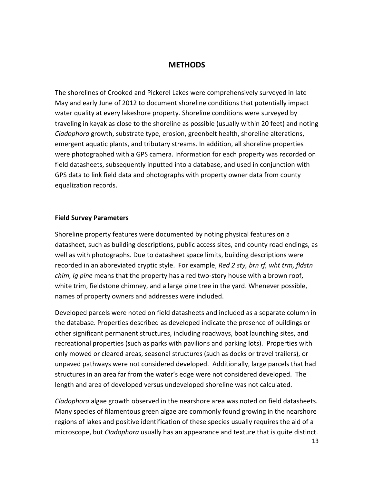### **METHODS**

The shorelines of Crooked and Pickerel Lakes were comprehensively surveyed in late May and early June of 2012 to document shoreline conditions that potentially impact water quality at every lakeshore property. Shoreline conditions were surveyed by traveling in kayak as close to the shoreline as possible (usually within 20 feet) and noting Cladophora growth, substrate type, erosion, greenbelt health, shoreline alterations, emergent aquatic plants, and tributary streams. In addition, all shoreline properties were photographed with a GPS camera. Information for each property was recorded on field datasheets, subsequently inputted into a database, and used in conjunction with GPS data to link field data and photographs with property owner data from county equalization records.

#### Field Survey Parameters

Shoreline property features were documented by noting physical features on a datasheet, such as building descriptions, public access sites, and county road endings, as well as with photographs. Due to datasheet space limits, building descriptions were recorded in an abbreviated cryptic style. For example, Red 2 sty, brn rf, wht trm, fldstn chim, la pine means that the property has a red two-story house with a brown roof, white trim, fieldstone chimney, and a large pine tree in the yard. Whenever possible, names of property owners and addresses were included.

Developed parcels were noted on field datasheets and included as a separate column in the database. Properties described as developed indicate the presence of buildings or other significant permanent structures, including roadways, boat launching sites, and recreational properties (such as parks with pavilions and parking lots). Properties with only mowed or cleared areas, seasonal structures (such as docks or travel trailers), or unpaved pathways were not considered developed. Additionally, large parcels that had structures in an area far from the water's edge were not considered developed. The length and area of developed versus undeveloped shoreline was not calculated.

Cladophora algae growth observed in the nearshore area was noted on field datasheets. Many species of filamentous green algae are commonly found growing in the nearshore regions of lakes and positive identification of these species usually requires the aid of a microscope, but *Cladophora* usually has an appearance and texture that is quite distinct.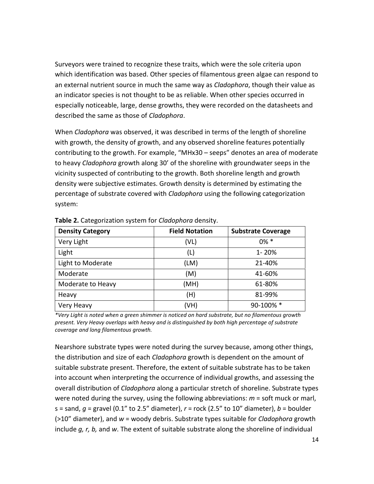Surveyors were trained to recognize these traits, which were the sole criteria upon which identification was based. Other species of filamentous green algae can respond to an external nutrient source in much the same way as *Cladophora*, though their value as an indicator species is not thought to be as reliable. When other species occurred in especially noticeable, large, dense growths, they were recorded on the datasheets and described the same as those of Cladophora.

When *Cladophora* was observed, it was described in terms of the length of shoreline with growth, the density of growth, and any observed shoreline features potentially contributing to the growth. For example, "MHx30 – seeps" denotes an area of moderate to heavy Cladophora growth along 30' of the shoreline with groundwater seeps in the vicinity suspected of contributing to the growth. Both shoreline length and growth density were subjective estimates. Growth density is determined by estimating the percentage of substrate covered with *Cladophora* using the following categorization system:

| <b>Density Category</b> | <b>Field Notation</b> | <b>Substrate Coverage</b> |
|-------------------------|-----------------------|---------------------------|
| Very Light              | (VL)                  | $0\% *$                   |
| Light                   | (L)                   | $1 - 20%$                 |
| Light to Moderate       | (LM)                  | 21-40%                    |
| Moderate                | (M)                   | 41-60%                    |
| Moderate to Heavy       | (MH)                  | 61-80%                    |
| Heavy                   | (H)                   | 81-99%                    |
| Very Heavy              | (VH)                  | 90-100% *                 |

Table 2. Categorization system for Cladophora density.

\*Very Light is noted when a green shimmer is noticed on hard substrate, but no filamentous growth present. Very Heavy overlaps with heavy and is distinguished by both high percentage of substrate coverage and long filamentous growth.

Nearshore substrate types were noted during the survey because, among other things, the distribution and size of each *Cladophora* growth is dependent on the amount of suitable substrate present. Therefore, the extent of suitable substrate has to be taken into account when interpreting the occurrence of individual growths, and assessing the overall distribution of *Cladophora* along a particular stretch of shoreline. Substrate types were noted during the survey, using the following abbreviations:  $m =$  soft muck or marl, s = sand,  $g$  = gravel (0.1" to 2.5" diameter),  $r$  = rock (2.5" to 10" diameter),  $b$  = boulder  $(>10"$  diameter), and  $w =$  woody debris. Substrate types suitable for *Cladophora* growth include  $g$ , r, b, and w. The extent of suitable substrate along the shoreline of individual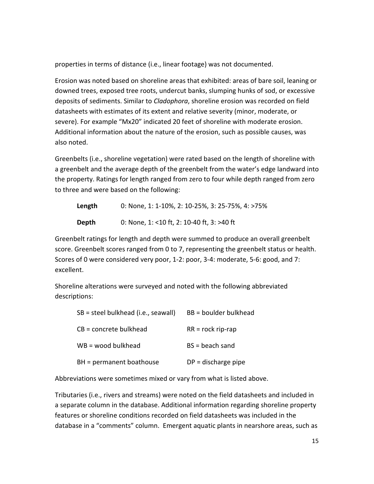properties in terms of distance (i.e., linear footage) was not documented.

Erosion was noted based on shoreline areas that exhibited: areas of bare soil, leaning or downed trees, exposed tree roots, undercut banks, slumping hunks of sod, or excessive deposits of sediments. Similar to Cladophora, shoreline erosion was recorded on field datasheets with estimates of its extent and relative severity (minor, moderate, or severe). For example "Mx20" indicated 20 feet of shoreline with moderate erosion. Additional information about the nature of the erosion, such as possible causes, was also noted.

Greenbelts (i.e., shoreline vegetation) were rated based on the length of shoreline with a greenbelt and the average depth of the greenbelt from the water's edge landward into the property. Ratings for length ranged from zero to four while depth ranged from zero to three and were based on the following:

| Length | 0: None, 1: 1-10%, 2: 10-25%, 3: 25-75%, 4: >75% |
|--------|--------------------------------------------------|
| Depth  | 0: None, 1: <10 ft, 2: 10-40 ft, 3: >40 ft       |

Greenbelt ratings for length and depth were summed to produce an overall greenbelt score. Greenbelt scores ranged from 0 to 7, representing the greenbelt status or health. Scores of 0 were considered very poor, 1-2: poor, 3-4: moderate, 5-6: good, and 7: excellent.

Shoreline alterations were surveyed and noted with the following abbreviated descriptions:

| SB = steel bulkhead (i.e., seawall) | BB = boulder bulkhead |
|-------------------------------------|-----------------------|
| $CB = concrete$ bulkhead            | $RR = rock rip-rap$   |
| $WB =$ wood bulkhead                | $BS = beach$ sand     |
| BH = permanent boathouse            | $DP = discharge$ pipe |

Abbreviations were sometimes mixed or vary from what is listed above.

Tributaries (i.e., rivers and streams) were noted on the field datasheets and included in a separate column in the database. Additional information regarding shoreline property features or shoreline conditions recorded on field datasheets was included in the database in a "comments" column. Emergent aquatic plants in nearshore areas, such as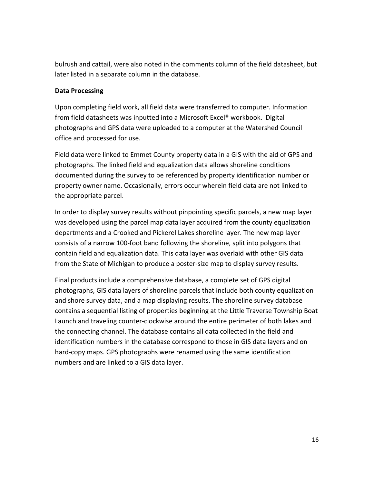bulrush and cattail, were also noted in the comments column of the field datasheet, but later listed in a separate column in the database.

## Data Processing

Upon completing field work, all field data were transferred to computer. Information from field datasheets was inputted into a Microsoft Excel® workbook. Digital photographs and GPS data were uploaded to a computer at the Watershed Council office and processed for use.

Field data were linked to Emmet County property data in a GIS with the aid of GPS and photographs. The linked field and equalization data allows shoreline conditions documented during the survey to be referenced by property identification number or property owner name. Occasionally, errors occur wherein field data are not linked to the appropriate parcel.

In order to display survey results without pinpointing specific parcels, a new map layer was developed using the parcel map data layer acquired from the county equalization departments and a Crooked and Pickerel Lakes shoreline layer. The new map layer consists of a narrow 100-foot band following the shoreline, split into polygons that contain field and equalization data. This data layer was overlaid with other GIS data from the State of Michigan to produce a poster-size map to display survey results.

Final products include a comprehensive database, a complete set of GPS digital photographs, GIS data layers of shoreline parcels that include both county equalization and shore survey data, and a map displaying results. The shoreline survey database contains a sequential listing of properties beginning at the Little Traverse Township Boat Launch and traveling counter-clockwise around the entire perimeter of both lakes and the connecting channel. The database contains all data collected in the field and identification numbers in the database correspond to those in GIS data layers and on hard-copy maps. GPS photographs were renamed using the same identification numbers and are linked to a GIS data layer.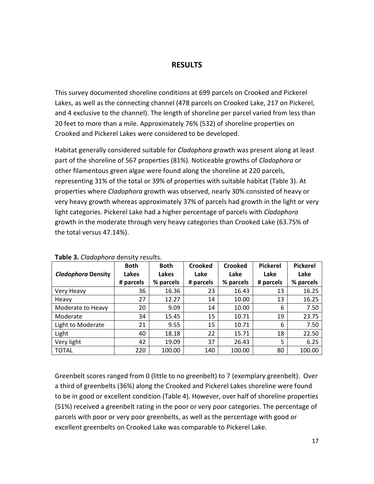# RESULTS

This survey documented shoreline conditions at 699 parcels on Crooked and Pickerel Lakes, as well as the connecting channel (478 parcels on Crooked Lake, 217 on Pickerel, and 4 exclusive to the channel). The length of shoreline per parcel varied from less than 20 feet to more than a mile. Approximately 76% (532) of shoreline properties on Crooked and Pickerel Lakes were considered to be developed.

Habitat generally considered suitable for *Cladophora* growth was present along at least part of the shoreline of 567 properties (81%). Noticeable growths of Cladophora or other filamentous green algae were found along the shoreline at 220 parcels, representing 31% of the total or 39% of properties with suitable habitat (Table 3). At properties where *Cladophora* growth was observed, nearly 30% consisted of heavy or very heavy growth whereas approximately 37% of parcels had growth in the light or very light categories. Pickerel Lake had a higher percentage of parcels with *Cladophora* growth in the moderate through very heavy categories than Crooked Lake (63.75% of the total versus 47.14%).

| $1.441$ $1.41$ $1.41$ $1.41$ $1.41$ $1.41$ $1.41$ $1.41$ $1.41$ $1.41$ $1.41$ $1.41$ |             |             |           |           |                 |                 |  |  |
|--------------------------------------------------------------------------------------|-------------|-------------|-----------|-----------|-----------------|-----------------|--|--|
|                                                                                      | <b>Both</b> | <b>Both</b> | Crooked   | Crooked   | <b>Pickerel</b> | <b>Pickerel</b> |  |  |
| <b>Cladophora Density</b>                                                            | Lakes       | Lakes       | Lake      | Lake      | Lake            | Lake            |  |  |
|                                                                                      | # parcels   | % parcels   | # parcels | % parcels | # parcels       | % parcels       |  |  |
| Very Heavy                                                                           | 36          | 16.36       | 23        | 16.43     | 13              | 16.25           |  |  |
| Heavy                                                                                | 27          | 12.27       | 14        | 10.00     | 13              | 16.25           |  |  |
| Moderate to Heavy                                                                    | 20          | 9.09        | 14        | 10.00     | 6               | 7.50            |  |  |
| Moderate                                                                             | 34          | 15.45       | 15        | 10.71     | 19              | 23.75           |  |  |
| Light to Moderate                                                                    | 21          | 9.55        | 15        | 10.71     | 6               | 7.50            |  |  |
| Light                                                                                | 40          | 18.18       | 22        | 15.71     | 18              | 22.50           |  |  |
| Very light                                                                           | 42          | 19.09       | 37        | 26.43     | 5               | 6.25            |  |  |
| <b>TOTAL</b>                                                                         | 220         | 100.00      | 140       | 100.00    | 80              | 100.00          |  |  |

Table 3. Cladophora density results.

Greenbelt scores ranged from 0 (little to no greenbelt) to 7 (exemplary greenbelt). Over a third of greenbelts (36%) along the Crooked and Pickerel Lakes shoreline were found to be in good or excellent condition (Table 4). However, over half of shoreline properties (51%) received a greenbelt rating in the poor or very poor categories. The percentage of parcels with poor or very poor greenbelts, as well as the percentage with good or excellent greenbelts on Crooked Lake was comparable to Pickerel Lake.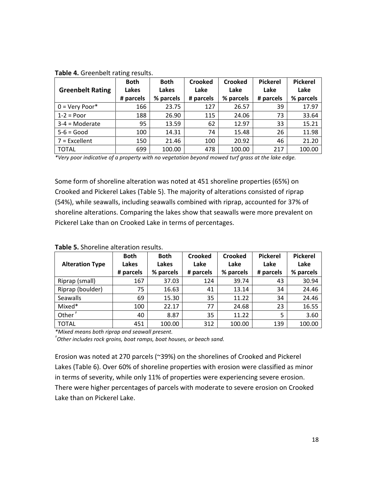| <b>Greenbelt Rating</b> | <b>Both</b><br>Lakes<br># parcels | <b>Both</b><br>Lakes<br>% parcels | <b>Crooked</b><br>Lake<br># parcels | <b>Crooked</b><br>Lake<br>% parcels | <b>Pickerel</b><br>Lake<br># parcels | <b>Pickerel</b><br>Lake<br>% parcels |
|-------------------------|-----------------------------------|-----------------------------------|-------------------------------------|-------------------------------------|--------------------------------------|--------------------------------------|
| $0 = \text{Very Poor*}$ | 166                               | 23.75                             | 127                                 | 26.57                               | 39                                   | 17.97                                |
| $1-2 = Poor$            | 188                               | 26.90                             | 115                                 | 24.06                               | 73                                   | 33.64                                |
| $3-4 =$ Moderate        | 95                                | 13.59                             | 62                                  | 12.97                               | 33                                   | 15.21                                |
| $5-6 = Good$            | 100                               | 14.31                             | 74                                  | 15.48                               | 26                                   | 11.98                                |
| $7$ = Excellent         | 150                               | 21.46                             | 100                                 | 20.92                               | 46                                   | 21.20                                |
| <b>TOTAL</b>            | 699                               | 100.00                            | 478                                 | 100.00                              | 217                                  | 100.00                               |

Table 4. Greenbelt rating results.

\*Very poor indicative of a property with no vegetation beyond mowed turf grass at the lake edge.

Some form of shoreline alteration was noted at 451 shoreline properties (65%) on Crooked and Pickerel Lakes (Table 5). The majority of alterations consisted of riprap (54%), while seawalls, including seawalls combined with riprap, accounted for 37% of shoreline alterations. Comparing the lakes show that seawalls were more prevalent on Pickerel Lake than on Crooked Lake in terms of percentages.

| <b>Alteration Type</b> | <b>Both</b><br>Lakes<br># parcels | <b>Both</b><br>Lakes<br>% parcels | Crooked<br>Lake<br># parcels | Crooked<br>Lake<br>% parcels | <b>Pickerel</b><br>Lake<br># parcels | <b>Pickerel</b><br>Lake<br>% parcels |
|------------------------|-----------------------------------|-----------------------------------|------------------------------|------------------------------|--------------------------------------|--------------------------------------|
| Riprap (small)         | 167                               | 37.03                             | 124                          | 39.74                        | 43                                   | 30.94                                |
| Riprap (boulder)       | 75                                | 16.63                             | 41                           | 13.14                        | 34                                   | 24.46                                |
| <b>Seawalls</b>        | 69                                | 15.30                             | 35                           | 11.22                        | 34                                   | 24.46                                |
| Mixed*                 | 100                               | 22.17                             | 77                           | 24.68                        | 23                                   | 16.55                                |
| Other                  | 40                                | 8.87                              | 35                           | 11.22                        | 5                                    | 3.60                                 |
| <b>TOTAL</b>           | 451                               | 100.00                            | 312                          | 100.00                       | 139                                  | 100.00                               |

#### Table 5. Shoreline alteration results.

\*Mixed means both riprap and seawall present.

 $^\dagger$ Other includes rock groins, boat ramps, boat houses, or beach sand.

Erosion was noted at 270 parcels (~39%) on the shorelines of Crooked and Pickerel Lakes (Table 6). Over 60% of shoreline properties with erosion were classified as minor in terms of severity, while only 11% of properties were experiencing severe erosion. There were higher percentages of parcels with moderate to severe erosion on Crooked Lake than on Pickerel Lake.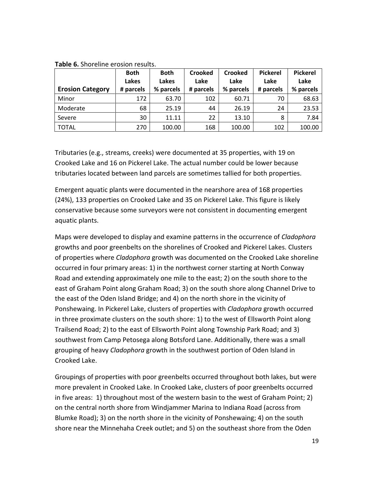| <b>Erosion Category</b> | <b>Both</b><br><b>Lakes</b><br># parcels | <b>Both</b><br>Lakes<br>% parcels | <b>Crooked</b><br>Lake<br># parcels | <b>Crooked</b><br>Lake<br>% parcels | <b>Pickerel</b><br>Lake<br># parcels | <b>Pickerel</b><br>Lake<br>% parcels |
|-------------------------|------------------------------------------|-----------------------------------|-------------------------------------|-------------------------------------|--------------------------------------|--------------------------------------|
| Minor                   | 172                                      | 63.70                             | 102                                 | 60.71                               | 70                                   | 68.63                                |
| Moderate                | 68                                       | 25.19                             | 44                                  | 26.19                               | 24                                   | 23.53                                |
| Severe                  | 30                                       | 11.11                             | 22                                  | 13.10                               | 8                                    | 7.84                                 |
| <b>TOTAL</b>            | 270                                      | 100.00                            | 168                                 | 100.00                              | 102                                  | 100.00                               |

Table 6. Shoreline erosion results.

Tributaries (e.g., streams, creeks) were documented at 35 properties, with 19 on Crooked Lake and 16 on Pickerel Lake. The actual number could be lower because tributaries located between land parcels are sometimes tallied for both properties.

Emergent aquatic plants were documented in the nearshore area of 168 properties (24%), 133 properties on Crooked Lake and 35 on Pickerel Lake. This figure is likely conservative because some surveyors were not consistent in documenting emergent aquatic plants.

Maps were developed to display and examine patterns in the occurrence of *Cladophora* growths and poor greenbelts on the shorelines of Crooked and Pickerel Lakes. Clusters of properties where *Cladophora* growth was documented on the Crooked Lake shoreline occurred in four primary areas: 1) in the northwest corner starting at North Conway Road and extending approximately one mile to the east; 2) on the south shore to the east of Graham Point along Graham Road; 3) on the south shore along Channel Drive to the east of the Oden Island Bridge; and 4) on the north shore in the vicinity of Ponshewaing. In Pickerel Lake, clusters of properties with Cladophora growth occurred in three proximate clusters on the south shore: 1) to the west of Ellsworth Point along Trailsend Road; 2) to the east of Ellsworth Point along Township Park Road; and 3) southwest from Camp Petosega along Botsford Lane. Additionally, there was a small grouping of heavy *Cladophora* growth in the southwest portion of Oden Island in Crooked Lake.

Groupings of properties with poor greenbelts occurred throughout both lakes, but were more prevalent in Crooked Lake. In Crooked Lake, clusters of poor greenbelts occurred in five areas: 1) throughout most of the western basin to the west of Graham Point; 2) on the central north shore from Windjammer Marina to Indiana Road (across from Blumke Road); 3) on the north shore in the vicinity of Ponshewaing; 4) on the south shore near the Minnehaha Creek outlet; and 5) on the southeast shore from the Oden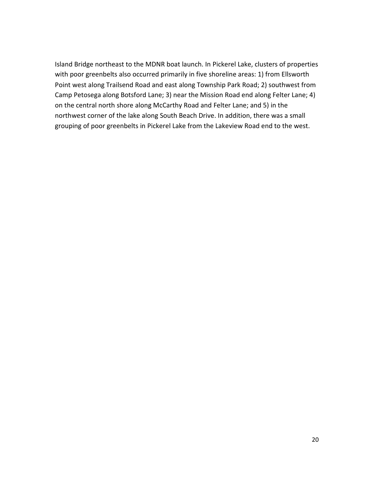Island Bridge northeast to the MDNR boat launch. In Pickerel Lake, clusters of properties with poor greenbelts also occurred primarily in five shoreline areas: 1) from Ellsworth Point west along Trailsend Road and east along Township Park Road; 2) southwest from Camp Petosega along Botsford Lane; 3) near the Mission Road end along Felter Lane; 4) on the central north shore along McCarthy Road and Felter Lane; and 5) in the northwest corner of the lake along South Beach Drive. In addition, there was a small grouping of poor greenbelts in Pickerel Lake from the Lakeview Road end to the west.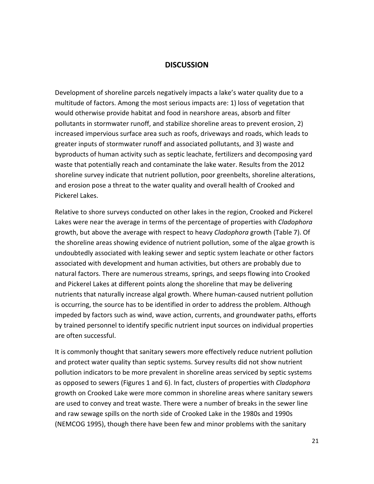### **DISCUSSION**

Development of shoreline parcels negatively impacts a lake's water quality due to a multitude of factors. Among the most serious impacts are: 1) loss of vegetation that would otherwise provide habitat and food in nearshore areas, absorb and filter pollutants in stormwater runoff, and stabilize shoreline areas to prevent erosion, 2) increased impervious surface area such as roofs, driveways and roads, which leads to greater inputs of stormwater runoff and associated pollutants, and 3) waste and byproducts of human activity such as septic leachate, fertilizers and decomposing yard waste that potentially reach and contaminate the lake water. Results from the 2012 shoreline survey indicate that nutrient pollution, poor greenbelts, shoreline alterations, and erosion pose a threat to the water quality and overall health of Crooked and Pickerel Lakes.

Relative to shore surveys conducted on other lakes in the region, Crooked and Pickerel Lakes were near the average in terms of the percentage of properties with *Cladophora* growth, but above the average with respect to heavy Cladophora growth (Table 7). Of the shoreline areas showing evidence of nutrient pollution, some of the algae growth is undoubtedly associated with leaking sewer and septic system leachate or other factors associated with development and human activities, but others are probably due to natural factors. There are numerous streams, springs, and seeps flowing into Crooked and Pickerel Lakes at different points along the shoreline that may be delivering nutrients that naturally increase algal growth. Where human-caused nutrient pollution is occurring, the source has to be identified in order to address the problem. Although impeded by factors such as wind, wave action, currents, and groundwater paths, efforts by trained personnel to identify specific nutrient input sources on individual properties are often successful.

It is commonly thought that sanitary sewers more effectively reduce nutrient pollution and protect water quality than septic systems. Survey results did not show nutrient pollution indicators to be more prevalent in shoreline areas serviced by septic systems as opposed to sewers (Figures 1 and 6). In fact, clusters of properties with Cladophora growth on Crooked Lake were more common in shoreline areas where sanitary sewers are used to convey and treat waste. There were a number of breaks in the sewer line and raw sewage spills on the north side of Crooked Lake in the 1980s and 1990s (NEMCOG 1995), though there have been few and minor problems with the sanitary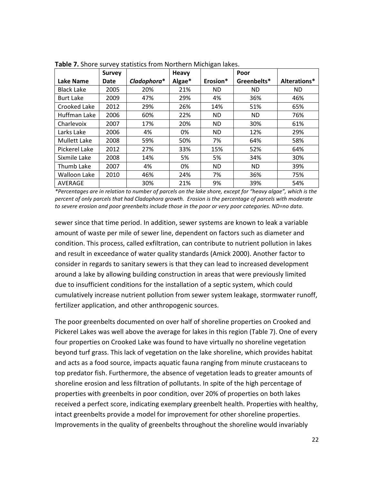|                   | <b>Survey</b> |             | <b>Heavy</b> |           | Poor        |              |
|-------------------|---------------|-------------|--------------|-----------|-------------|--------------|
| Lake Name         | Date          | Cladophora* | Algae*       | Erosion*  | Greenbelts* | Alterations* |
| <b>Black Lake</b> | 2005          | 20%         | 21%          | ND.       | <b>ND</b>   | <b>ND</b>    |
| <b>Burt Lake</b>  | 2009          | 47%         | 29%          | 4%        | 36%         | 46%          |
| Crooked Lake      | 2012          | 29%         | 26%          | 14%       | 51%         | 65%          |
| Huffman Lake      | 2006          | 60%         | 22%          | <b>ND</b> | <b>ND</b>   | 76%          |
| Charlevoix        | 2007          | 17%         | 20%          | <b>ND</b> | 30%         | 61%          |
| Larks Lake        | 2006          | 4%          | 0%           | <b>ND</b> | 12%         | 29%          |
| Mullett Lake      | 2008          | 59%         | 50%          | 7%        | 64%         | 58%          |
| Pickerel Lake     | 2012          | 27%         | 33%          | 15%       | 52%         | 64%          |
| Sixmile Lake      | 2008          | 14%         | 5%           | 5%        | 34%         | 30%          |
| Thumb Lake        | 2007          | 4%          | 0%           | <b>ND</b> | <b>ND</b>   | 39%          |
| Walloon Lake      | 2010          | 46%         | 24%          | 7%        | 36%         | 75%          |
| AVERAGE           |               | 30%         | 21%          | 9%        | 39%         | 54%          |

Table 7. Shore survey statistics from Northern Michigan lakes.

\*Percentages are in relation to number of parcels on the lake shore, except for "heavy algae", which is the percent of only parcels that had Cladophora growth. Erosion is the percentage of parcels with moderate to severe erosion and poor greenbelts include those in the poor or very poor categories. ND=no data.

sewer since that time period. In addition, sewer systems are known to leak a variable amount of waste per mile of sewer line, dependent on factors such as diameter and condition. This process, called exfiltration, can contribute to nutrient pollution in lakes and result in exceedance of water quality standards (Amick 2000). Another factor to consider in regards to sanitary sewers is that they can lead to increased development around a lake by allowing building construction in areas that were previously limited due to insufficient conditions for the installation of a septic system, which could cumulatively increase nutrient pollution from sewer system leakage, stormwater runoff, fertilizer application, and other anthropogenic sources.

The poor greenbelts documented on over half of shoreline properties on Crooked and Pickerel Lakes was well above the average for lakes in this region (Table 7). One of every four properties on Crooked Lake was found to have virtually no shoreline vegetation beyond turf grass. This lack of vegetation on the lake shoreline, which provides habitat and acts as a food source, impacts aquatic fauna ranging from minute crustaceans to top predator fish. Furthermore, the absence of vegetation leads to greater amounts of shoreline erosion and less filtration of pollutants. In spite of the high percentage of properties with greenbelts in poor condition, over 20% of properties on both lakes received a perfect score, indicating exemplary greenbelt health. Properties with healthy, intact greenbelts provide a model for improvement for other shoreline properties. Improvements in the quality of greenbelts throughout the shoreline would invariably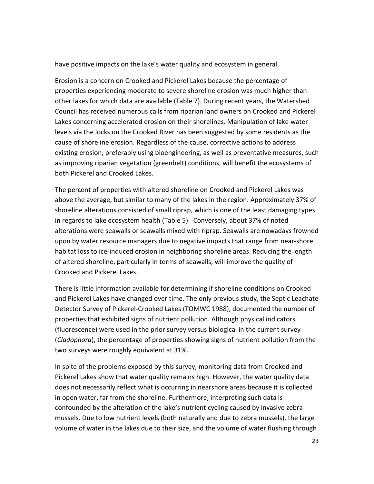have positive impacts on the lake's water quality and ecosystem in general.

Erosion is a concern on Crooked and Pickerel Lakes because the percentage of properties experiencing moderate to severe shoreline erosion was much higher than other lakes for which data are available (Table 7). During recent years, the Watershed Council has received numerous calls from riparian land owners on Crooked and Pickerel Lakes concerning accelerated erosion on their shorelines. Manipulation of lake water levels via the locks on the Crooked River has been suggested by some residents as the cause of shoreline erosion. Regardless of the cause, corrective actions to address existing erosion, preferably using bioengineering, as well as preventative measures, such as improving riparian vegetation (greenbelt) conditions, will benefit the ecosystems of both Pickerel and Crooked Lakes.

The percent of properties with altered shoreline on Crooked and Pickerel Lakes was above the average, but similar to many of the lakes in the region. Approximately 37% of shoreline alterations consisted of small riprap, which is one of the least damaging types in regards to lake ecosystem health (Table 5). Conversely, about 37% of noted alterations were seawalls or seawalls mixed with riprap. Seawalls are nowadays frowned upon by water resource managers due to negative impacts that range from near-shore habitat loss to ice-induced erosion in neighboring shoreline areas. Reducing the length of altered shoreline, particularly in terms of seawalls, will improve the quality of Crooked and Pickerel Lakes.

There is little information available for determining if shoreline conditions on Crooked and Pickerel Lakes have changed over time. The only previous study, the Septic Leachate Detector Survey of Pickerel-Crooked Lakes (TOMWC 1988), documented the number of properties that exhibited signs of nutrient pollution. Although physical indicators (fluorescence) were used in the prior survey versus biological in the current survey (Cladophora), the percentage of properties showing signs of nutrient pollution from the two surveys were roughly equivalent at 31%.

In spite of the problems exposed by this survey, monitoring data from Crooked and Pickerel Lakes show that water quality remains high. However, the water quality data does not necessarily reflect what is occurring in nearshore areas because it is collected in open water, far from the shoreline. Furthermore, interpreting such data is confounded by the alteration of the lake's nutrient cycling caused by invasive zebra mussels. Due to low nutrient levels (both naturally and due to zebra mussels), the large volume of water in the lakes due to their size, and the volume of water flushing through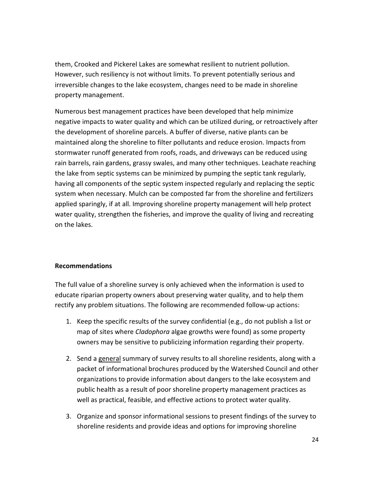them, Crooked and Pickerel Lakes are somewhat resilient to nutrient pollution. However, such resiliency is not without limits. To prevent potentially serious and irreversible changes to the lake ecosystem, changes need to be made in shoreline property management.

Numerous best management practices have been developed that help minimize negative impacts to water quality and which can be utilized during, or retroactively after the development of shoreline parcels. A buffer of diverse, native plants can be maintained along the shoreline to filter pollutants and reduce erosion. Impacts from stormwater runoff generated from roofs, roads, and driveways can be reduced using rain barrels, rain gardens, grassy swales, and many other techniques. Leachate reaching the lake from septic systems can be minimized by pumping the septic tank regularly, having all components of the septic system inspected regularly and replacing the septic system when necessary. Mulch can be composted far from the shoreline and fertilizers applied sparingly, if at all. Improving shoreline property management will help protect water quality, strengthen the fisheries, and improve the quality of living and recreating on the lakes.

### Recommendations

The full value of a shoreline survey is only achieved when the information is used to educate riparian property owners about preserving water quality, and to help them rectify any problem situations. The following are recommended follow-up actions:

- 1. Keep the specific results of the survey confidential (e.g., do not publish a list or map of sites where *Cladophora* algae growths were found) as some property owners may be sensitive to publicizing information regarding their property.
- 2. Send a general summary of survey results to all shoreline residents, along with a packet of informational brochures produced by the Watershed Council and other organizations to provide information about dangers to the lake ecosystem and public health as a result of poor shoreline property management practices as well as practical, feasible, and effective actions to protect water quality.
- 3. Organize and sponsor informational sessions to present findings of the survey to shoreline residents and provide ideas and options for improving shoreline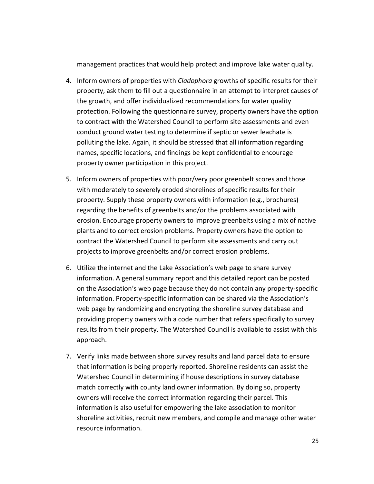management practices that would help protect and improve lake water quality.

- 4. Inform owners of properties with Cladophora growths of specific results for their property, ask them to fill out a questionnaire in an attempt to interpret causes of the growth, and offer individualized recommendations for water quality protection. Following the questionnaire survey, property owners have the option to contract with the Watershed Council to perform site assessments and even conduct ground water testing to determine if septic or sewer leachate is polluting the lake. Again, it should be stressed that all information regarding names, specific locations, and findings be kept confidential to encourage property owner participation in this project.
- 5. Inform owners of properties with poor/very poor greenbelt scores and those with moderately to severely eroded shorelines of specific results for their property. Supply these property owners with information (e.g., brochures) regarding the benefits of greenbelts and/or the problems associated with erosion. Encourage property owners to improve greenbelts using a mix of native plants and to correct erosion problems. Property owners have the option to contract the Watershed Council to perform site assessments and carry out projects to improve greenbelts and/or correct erosion problems.
- 6. Utilize the internet and the Lake Association's web page to share survey information. A general summary report and this detailed report can be posted on the Association's web page because they do not contain any property-specific information. Property-specific information can be shared via the Association's web page by randomizing and encrypting the shoreline survey database and providing property owners with a code number that refers specifically to survey results from their property. The Watershed Council is available to assist with this approach.
- 7. Verify links made between shore survey results and land parcel data to ensure that information is being properly reported. Shoreline residents can assist the Watershed Council in determining if house descriptions in survey database match correctly with county land owner information. By doing so, property owners will receive the correct information regarding their parcel. This information is also useful for empowering the lake association to monitor shoreline activities, recruit new members, and compile and manage other water resource information.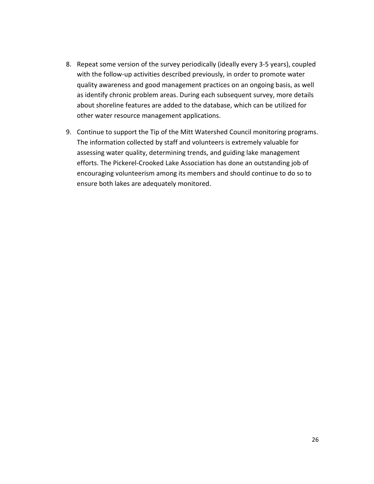- 8. Repeat some version of the survey periodically (ideally every 3-5 years), coupled with the follow-up activities described previously, in order to promote water quality awareness and good management practices on an ongoing basis, as well as identify chronic problem areas. During each subsequent survey, more details about shoreline features are added to the database, which can be utilized for other water resource management applications.
- 9. Continue to support the Tip of the Mitt Watershed Council monitoring programs. The information collected by staff and volunteers is extremely valuable for assessing water quality, determining trends, and guiding lake management efforts. The Pickerel-Crooked Lake Association has done an outstanding job of encouraging volunteerism among its members and should continue to do so to ensure both lakes are adequately monitored.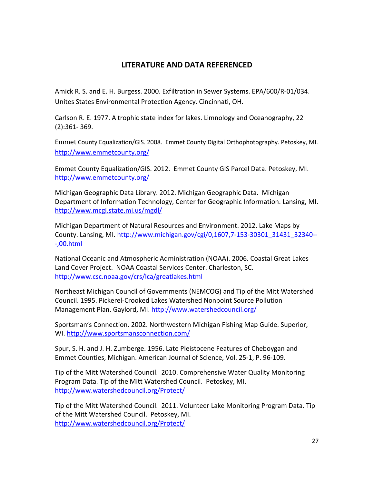# LITERATURE AND DATA REFERENCED

Amick R. S. and E. H. Burgess. 2000. Exfiltration in Sewer Systems. EPA/600/R-01/034. Unites States Environmental Protection Agency. Cincinnati, OH.

Carlson R. E. 1977. A trophic state index for lakes. Limnology and Oceanography, 22 (2):361- 369.

Emmet County Equalization/GIS. 2008. Emmet County Digital Orthophotography. Petoskey, MI. http://www.emmetcounty.org/

Emmet County Equalization/GIS. 2012. Emmet County GIS Parcel Data. Petoskey, MI. http://www.emmetcounty.org/

Michigan Geographic Data Library. 2012. Michigan Geographic Data. Michigan Department of Information Technology, Center for Geographic Information. Lansing, MI. http://www.mcgi.state.mi.us/mgdl/

Michigan Department of Natural Resources and Environment. 2012. Lake Maps by County. Lansing, MI. http://www.michigan.gov/cgi/0,1607,7-153-30301\_31431\_32340-- -,00.html

National Oceanic and Atmospheric Administration (NOAA). 2006. Coastal Great Lakes Land Cover Project. NOAA Coastal Services Center. Charleston, SC. http://www.csc.noaa.gov/crs/lca/greatlakes.html

Northeast Michigan Council of Governments (NEMCOG) and Tip of the Mitt Watershed Council. 1995. Pickerel-Crooked Lakes Watershed Nonpoint Source Pollution Management Plan. Gaylord, MI. http://www.watershedcouncil.org/

Sportsman's Connection. 2002. Northwestern Michigan Fishing Map Guide. Superior, WI. http://www.sportsmansconnection.com/

Spur, S. H. and J. H. Zumberge. 1956. Late Pleistocene Features of Cheboygan and Emmet Counties, Michigan. American Journal of Science, Vol. 25-1, P. 96-109.

Tip of the Mitt Watershed Council. 2010. Comprehensive Water Quality Monitoring Program Data. Tip of the Mitt Watershed Council. Petoskey, MI. http://www.watershedcouncil.org/Protect/

Tip of the Mitt Watershed Council. 2011. Volunteer Lake Monitoring Program Data. Tip of the Mitt Watershed Council. Petoskey, MI. http://www.watershedcouncil.org/Protect/